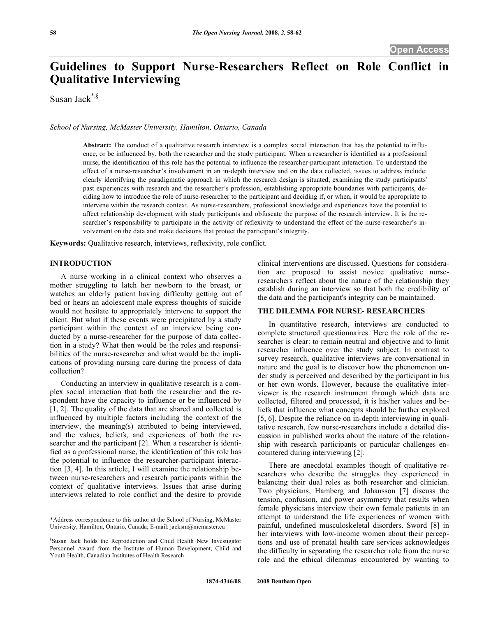# **Guidelines to Support Nurse-Researchers Reflect on Role Conflict in Qualitative Interviewing**

Susan Jack\*,§

*School of Nursing, McMaster University, Hamilton, Ontario, Canada* 

**Abstract:** The conduct of a qualitative research interview is a complex social interaction that has the potential to influence, or be influenced by, both the researcher and the study participant. When a researcher is identified as a professional nurse, the identification of this role has the potential to influence the researcher-participant interaction. To understand the effect of a nurse-researcher's involvement in an in-depth interview and on the data collected, issues to address include: clearly identifying the paradigmatic approach in which the research design is situated, examining the study participants' past experiences with research and the researcher's profession, establishing appropriate boundaries with participants, deciding how to introduce the role of nurse-researcher to the participant and deciding if, or when, it would be appropriate to intervene within the research context. As nurse-researchers, professional knowledge and experiences have the potential to affect relationship development with study participants and obfuscate the purpose of the research interview. It is the researcher's responsibility to participate in the activity of reflexivity to understand the effect of the nurse-researcher's involvement on the data and make decisions that protect the participant's integrity.

**Keywords:** Qualitative research, interviews, reflexivity, role conflict.

# **INTRODUCTION**

 A nurse working in a clinical context who observes a mother struggling to latch her newborn to the breast, or watches an elderly patient having difficulty getting out of bed or hears an adolescent male express thoughts of suicide would not hesitate to appropriately intervene to support the client. But what if these events were precipitated by a study participant within the context of an interview being conducted by a nurse-researcher for the purpose of data collection in a study? What then would be the roles and responsibilities of the nurse-researcher and what would be the implications of providing nursing care during the process of data collection?

 Conducting an interview in qualitative research is a complex social interaction that both the researcher and the respondent have the capacity to influence or be influenced by [1, 2]. The quality of the data that are shared and collected is influenced by multiple factors including the context of the interview, the meaning(s) attributed to being interviewed, and the values, beliefs, and experiences of both the researcher and the participant [2]. When a researcher is identified as a professional nurse, the identification of this role has the potential to influence the researcher-participant interaction [3, 4]. In this article, I will examine the relationship between nurse-researchers and research participants within the context of qualitative interviews. Issues that arise during interviews related to role conflict and the desire to provide

clinical interventions are discussed. Questions for consideration are proposed to assist novice qualitative nurseresearchers reflect about the nature of the relationship they establish during an interview so that both the credibility of the data and the participant's integrity can be maintained.

# **THE DILEMMA FOR NURSE- RESEARCHERS**

 In quantitative research, interviews are conducted to complete structured questionnaires. Here the role of the researcher is clear: to remain neutral and objective and to limit researcher influence over the study subject. In contrast to survey research, qualitative interviews are conversational in nature and the goal is to discover how the phenomenon under study is perceived and described by the participant in his or her own words. However, because the qualitative interviewer is the research instrument through which data are collected, filtered and processed, it is his/her values and beliefs that influence what concepts should be further explored [5, 6]. Despite the reliance on in-depth interviewing in qualitative research, few nurse-researchers include a detailed discussion in published works about the nature of the relationship with research participants or particular challenges encountered during interviewing [2].

 There are anecdotal examples though of qualitative researchers who describe the struggles they experienced in balancing their dual roles as both researcher and clinician. Two physicians, Hamberg and Johansson [7] discuss the tension, confusion, and power asymmetry that results when female physicians interview their own female patients in an attempt to understand the life experiences of women with painful, undefined musculoskeletal disorders. Sword [8] in her interviews with low-income women about their perceptions and use of prenatal health care services acknowledges the difficulty in separating the researcher role from the nurse role and the ethical dilemmas encountered by wanting to

<sup>\*</sup>Address correspondence to this author at the School of Nursing, McMaster University, Hamilton, Ontario, Canada; E-mail: jacksm@mcmaster.ca

<sup>§</sup> Susan Jack holds the Reproduction and Child Health New Investigator Personnel Award from the Institute of Human Development, Child and Youth Health, Canadian Institutes of Health Research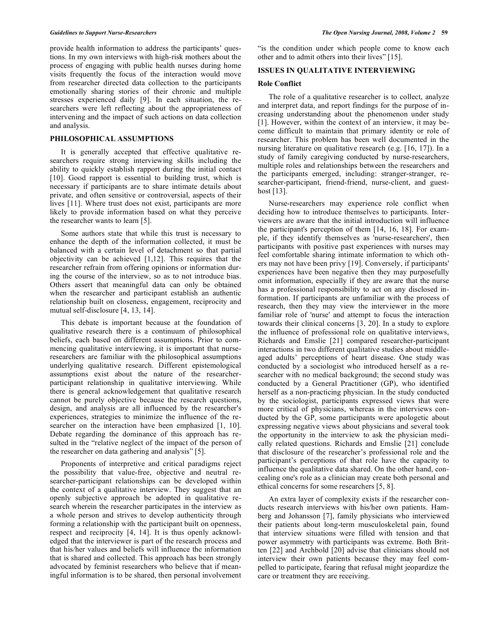provide health information to address the participants' questions. In my own interviews with high-risk mothers about the process of engaging with public health nurses during home visits frequently the focus of the interaction would move from researcher directed data collection to the participants emotionally sharing stories of their chronic and multiple stresses experienced daily [9]. In each situation, the researchers were left reflecting about the appropriateness of intervening and the impact of such actions on data collection and analysis.

# **PHILOSOPHICAL ASSUMPTIONS**

 It is generally accepted that effective qualitative researchers require strong interviewing skills including the ability to quickly establish rapport during the initial contact [10]. Good rapport is essential to building trust, which is necessary if participants are to share intimate details about private, and often sensitive or controversial, aspects of their lives [11]. Where trust does not exist, participants are more likely to provide information based on what they perceive the researcher wants to learn [5].

 Some authors state that while this trust is necessary to enhance the depth of the information collected, it must be balanced with a certain level of detachment so that partial objectivity can be achieved [1,12]. This requires that the researcher refrain from offering opinions or information during the course of the interview, so as to not introduce bias. Others assert that meaningful data can only be obtained when the researcher and participant establish an authentic relationship built on closeness, engagement, reciprocity and mutual self-disclosure [4, 13, 14].

 This debate is important because at the foundation of qualitative research there is a continuum of philosophical beliefs, each based on different assumptions. Prior to commencing qualitative interviewing, it is important that nurseresearchers are familiar with the philosophical assumptions underlying qualitative research. Different epistemological assumptions exist about the nature of the researcherparticipant relationship in qualitative interviewing. While there is general acknowledgement that qualitative research cannot be purely objective because the research questions, design, and analysis are all influenced by the researcher's experiences, strategies to minimize the influence of the researcher on the interaction have been emphasized [1, 10]. Debate regarding the dominance of this approach has resulted in the "relative neglect of the impact of the person of the researcher on data gathering and analysis" [5].

 Proponents of interpretive and critical paradigms reject the possibility that value-free, objective and neutral researcher-participant relationships can be developed within the context of a qualitative interview. They suggest that an openly subjective approach be adopted in qualitative research wherein the researcher participates in the interview as a whole person and strives to develop authenticity through forming a relationship with the participant built on openness, respect and reciprocity [4, 14]. It is thus openly acknowledged that the interviewer is part of the research process and that his/her values and beliefs will influence the information that is shared and collected. This approach has been strongly advocated by feminist researchers who believe that if meaningful information is to be shared, then personal involvement "is the condition under which people come to know each other and to admit others into their lives" [15].

# **ISSUES IN QUALITATIVE INTERVIEWING**

### **Role Conflict**

 The role of a qualitative researcher is to collect, analyze and interpret data, and report findings for the purpose of increasing understanding about the phenomenon under study [1]. However, within the context of an interview, it may become difficult to maintain that primary identity or role of researcher. This problem has been well documented in the nursing literature on qualitative research (e.g. [16, 17]). In a study of family caregiving conducted by nurse-researchers, multiple roles and relationships between the researchers and the participants emerged, including: stranger-stranger, researcher-participant, friend-friend, nurse-client, and guesthost [13].

 Nurse-researchers may experience role conflict when deciding how to introduce themselves to participants. Interviewers are aware that the initial introduction will influence the participant's perception of them [14, 16, 18]. For example, if they identify themselves as 'nurse-researchers', then participants with positive past experiences with nurses may feel comfortable sharing intimate information to which others may not have been privy [19]. Conversely, if participants' experiences have been negative then they may purposefully omit information, especially if they are aware that the nurse has a professional responsibility to act on any disclosed information. If participants are unfamiliar with the process of research, then they may view the interviewer in the more familiar role of 'nurse' and attempt to focus the interaction towards their clinical concerns [3, 20]. In a study to explore the influence of professional role on qualitative interviews, Richards and Emslie [21] compared researcher-participant interactions in two different qualitative studies about middleaged adults' perceptions of heart disease. One study was conducted by a sociologist who introduced herself as a researcher with no medical background; the second study was conducted by a General Practitioner (GP), who identified herself as a non-practicing physician. In the study conducted by the sociologist, participants expressed views that were more critical of physicians, whereas in the interviews conducted by the GP, some participants were apologetic about expressing negative views about physicians and several took the opportunity in the interview to ask the physician medically related questions. Richards and Emslie [21] conclude that disclosure of the researcher's professional role and the participant's perceptions of that role have the capacity to influence the qualitative data shared. On the other hand, concealing one's role as a clinician may create both personal and ethical concerns for some researchers [5, 8].

 An extra layer of complexity exists if the researcher conducts research interviews with his/her own patients. Hamberg and Johansson [7], family physicians who interviewed their patients about long-term musculoskeletal pain, found that interview situations were filled with tension and that power asymmetry with participants was extreme. Both Britten [22] and Archbold [20] advise that clinicians should not interview their own patients because they may feel compelled to participate, fearing that refusal might jeopardize the care or treatment they are receiving.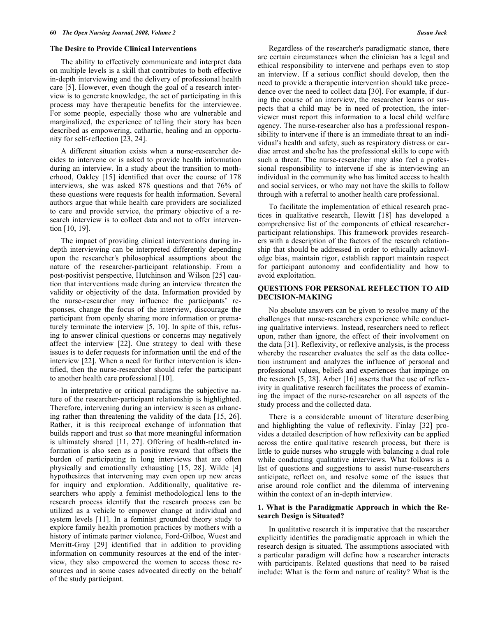#### **The Desire to Provide Clinical Interventions**

 The ability to effectively communicate and interpret data on multiple levels is a skill that contributes to both effective in-depth interviewing and the delivery of professional health care [5]. However, even though the goal of a research interview is to generate knowledge, the act of participating in this process may have therapeutic benefits for the interviewee. For some people, especially those who are vulnerable and marginalized, the experience of telling their story has been described as empowering, cathartic, healing and an opportunity for self-reflection [23, 24].

 A different situation exists when a nurse-researcher decides to intervene or is asked to provide health information during an interview. In a study about the transition to motherhood, Oakley [15] identified that over the course of 178 interviews, she was asked 878 questions and that 76% of these questions were requests for health information. Several authors argue that while health care providers are socialized to care and provide service, the primary objective of a research interview is to collect data and not to offer intervention [10, 19].

 The impact of providing clinical interventions during indepth interviewing can be interpreted differently depending upon the researcher's philosophical assumptions about the nature of the researcher-participant relationship. From a post-positivist perspective, Hutchinson and Wilson [25] caution that interventions made during an interview threaten the validity or objectivity of the data. Information provided by the nurse-researcher may influence the participants' responses, change the focus of the interview, discourage the participant from openly sharing more information or prematurely terminate the interview [5, 10]. In spite of this, refusing to answer clinical questions or concerns may negatively affect the interview [22]. One strategy to deal with these issues is to defer requests for information until the end of the interview [22]. When a need for further intervention is identified, then the nurse-researcher should refer the participant to another health care professional [10].

 In interpretative or critical paradigms the subjective nature of the researcher-participant relationship is highlighted. Therefore, intervening during an interview is seen as enhancing rather than threatening the validity of the data [15, 26]. Rather, it is this reciprocal exchange of information that builds rapport and trust so that more meaningful information is ultimately shared [11, 27]. Offering of health-related information is also seen as a positive reward that offsets the burden of participating in long interviews that are often physically and emotionally exhausting [15, 28]. Wilde [4] hypothesizes that intervening may even open up new areas for inquiry and exploration. Additionally, qualitative researchers who apply a feminist methodological lens to the research process identify that the research process can be utilized as a vehicle to empower change at individual and system levels [11]. In a feminist grounded theory study to explore family health promotion practices by mothers with a history of intimate partner violence, Ford-Gilboe, Wuest and Merritt-Gray [29] identified that in addition to providing information on community resources at the end of the interview, they also empowered the women to access those resources and in some cases advocated directly on the behalf of the study participant.

 Regardless of the researcher's paradigmatic stance, there are certain circumstances when the clinician has a legal and ethical responsibility to intervene and perhaps even to stop an interview. If a serious conflict should develop, then the need to provide a therapeutic intervention should take precedence over the need to collect data [30]. For example, if during the course of an interview, the researcher learns or suspects that a child may be in need of protection, the interviewer must report this information to a local child welfare agency. The nurse-researcher also has a professional responsibility to intervene if there is an immediate threat to an individual's health and safety, such as respiratory distress or cardiac arrest and she/he has the professional skills to cope with such a threat. The nurse-researcher may also feel a professional responsibility to intervene if she is interviewing an individual in the community who has limited access to health and social services, or who may not have the skills to follow through with a referral to another health care professional.

 To facilitate the implementation of ethical research practices in qualitative research, Hewitt [18] has developed a comprehensive list of the components of ethical researcherparticipant relationships. This framework provides researchers with a description of the factors of the research relationship that should be addressed in order to ethically acknowledge bias, maintain rigor, establish rapport maintain respect for participant autonomy and confidentiality and how to avoid exploitation.

# **QUESTIONS FOR PERSONAL REFLECTION TO AID DECISION-MAKING**

 No absolute answers can be given to resolve many of the challenges that nurse-researchers experience while conducting qualitative interviews. Instead, researchers need to reflect upon, rather than ignore, the effect of their involvement on the data [31]. Reflexivity, or reflexive analysis, is the process whereby the researcher evaluates the self as the data collection instrument and analyzes the influence of personal and professional values, beliefs and experiences that impinge on the research [5, 28]. Arber [16] asserts that the use of reflexivity in qualitative research facilitates the process of examining the impact of the nurse-researcher on all aspects of the study process and the collected data.

 There is a considerable amount of literature describing and highlighting the value of reflexivity. Finlay [32] provides a detailed description of how reflexivity can be applied across the entire qualitative research process, but there is little to guide nurses who struggle with balancing a dual role while conducting qualitative interviews. What follows is a list of questions and suggestions to assist nurse-researchers anticipate, reflect on, and resolve some of the issues that arise around role conflict and the dilemma of intervening within the context of an in-depth interview.

# **1. What is the Paradigmatic Approach in which the Research Design is Situated?**

 In qualitative research it is imperative that the researcher explicitly identifies the paradigmatic approach in which the research design is situated. The assumptions associated with a particular paradigm will define how a researcher interacts with participants. Related questions that need to be raised include: What is the form and nature of reality? What is the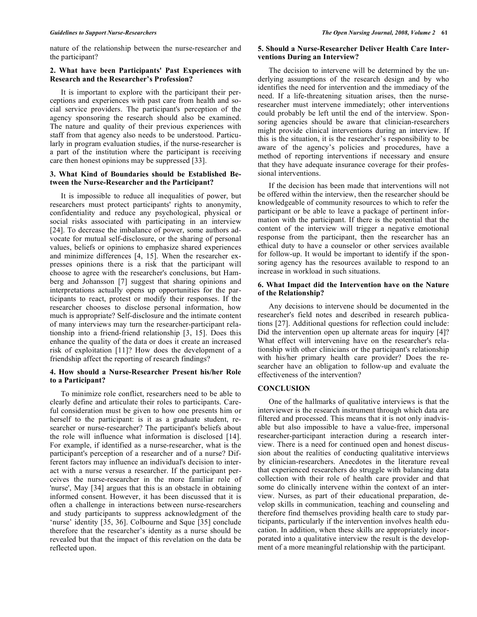nature of the relationship between the nurse-researcher and the participant?

# **2. What have been Participants' Past Experiences with Research and the Researcher's Profession?**

 It is important to explore with the participant their perceptions and experiences with past care from health and social service providers. The participant's perception of the agency sponsoring the research should also be examined. The nature and quality of their previous experiences with staff from that agency also needs to be understood. Particularly in program evaluation studies, if the nurse-researcher is a part of the institution where the participant is receiving care then honest opinions may be suppressed [33].

# **3. What Kind of Boundaries should be Established Between the Nurse-Researcher and the Participant?**

 It is impossible to reduce all inequalities of power, but researchers must protect participants' rights to anonymity, confidentiality and reduce any psychological, physical or social risks associated with participating in an interview [24]. To decrease the imbalance of power, some authors advocate for mutual self-disclosure, or the sharing of personal values, beliefs or opinions to emphasize shared experiences and minimize differences [4, 15]. When the researcher expresses opinions there is a risk that the participant will choose to agree with the researcher's conclusions, but Hamberg and Johansson [7] suggest that sharing opinions and interpretations actually opens up opportunities for the participants to react, protest or modify their responses. If the researcher chooses to disclose personal information, how much is appropriate? Self-disclosure and the intimate content of many interviews may turn the researcher-participant relationship into a friend-friend relationship [3, 15]. Does this enhance the quality of the data or does it create an increased risk of exploitation [11]? How does the development of a friendship affect the reporting of research findings?

# **4. How should a Nurse-Researcher Present his/her Role to a Participant?**

 To minimize role conflict, researchers need to be able to clearly define and articulate their roles to participants. Careful consideration must be given to how one presents him or herself to the participant: is it as a graduate student, researcher or nurse-researcher? The participant's beliefs about the role will influence what information is disclosed [14]. For example, if identified as a nurse-researcher, what is the participant's perception of a researcher and of a nurse? Different factors may influence an individual's decision to interact with a nurse versus a researcher. If the participant perceives the nurse-researcher in the more familiar role of 'nurse', May [34] argues that this is an obstacle in obtaining informed consent. However, it has been discussed that it is often a challenge in interactions between nurse-researchers and study participants to suppress acknowledgment of the 'nurse' identity [35, 36]. Colbourne and Sque [35] conclude therefore that the researcher's identity as a nurse should be revealed but that the impact of this revelation on the data be reflected upon.

# **5. Should a Nurse-Researcher Deliver Health Care Interventions During an Interview?**

 The decision to intervene will be determined by the underlying assumptions of the research design and by who identifies the need for intervention and the immediacy of the need. If a life-threatening situation arises, then the nurseresearcher must intervene immediately; other interventions could probably be left until the end of the interview. Sponsoring agencies should be aware that clinician-researchers might provide clinical interventions during an interview. If this is the situation, it is the researcher's responsibility to be aware of the agency's policies and procedures, have a method of reporting interventions if necessary and ensure that they have adequate insurance coverage for their professional interventions.

 If the decision has been made that interventions will not be offered within the interview, then the researcher should be knowledgeable of community resources to which to refer the participant or be able to leave a package of pertinent information with the participant. If there is the potential that the content of the interview will trigger a negative emotional response from the participant, then the researcher has an ethical duty to have a counselor or other services available for follow-up. It would be important to identify if the sponsoring agency has the resources available to respond to an increase in workload in such situations.

# **6. What Impact did the Intervention have on the Nature of the Relationship?**

 Any decisions to intervene should be documented in the researcher's field notes and described in research publications [27]. Additional questions for reflection could include: Did the intervention open up alternate areas for inquiry [4]? What effect will intervening have on the researcher's relationship with other clinicians or the participant's relationship with his/her primary health care provider? Does the researcher have an obligation to follow-up and evaluate the effectiveness of the intervention?

# **CONCLUSION**

 One of the hallmarks of qualitative interviews is that the interviewer is the research instrument through which data are filtered and processed. This means that it is not only inadvisable but also impossible to have a value-free, impersonal researcher-participant interaction during a research interview. There is a need for continued open and honest discussion about the realities of conducting qualitative interviews by clinician-researchers. Anecdotes in the literature reveal that experienced researchers do struggle with balancing data collection with their role of health care provider and that some do clinically intervene within the context of an interview. Nurses, as part of their educational preparation, develop skills in communication, teaching and counseling and therefore find themselves providing health care to study participants, particularly if the intervention involves health education. In addition, when these skills are appropriately incorporated into a qualitative interview the result is the development of a more meaningful relationship with the participant.